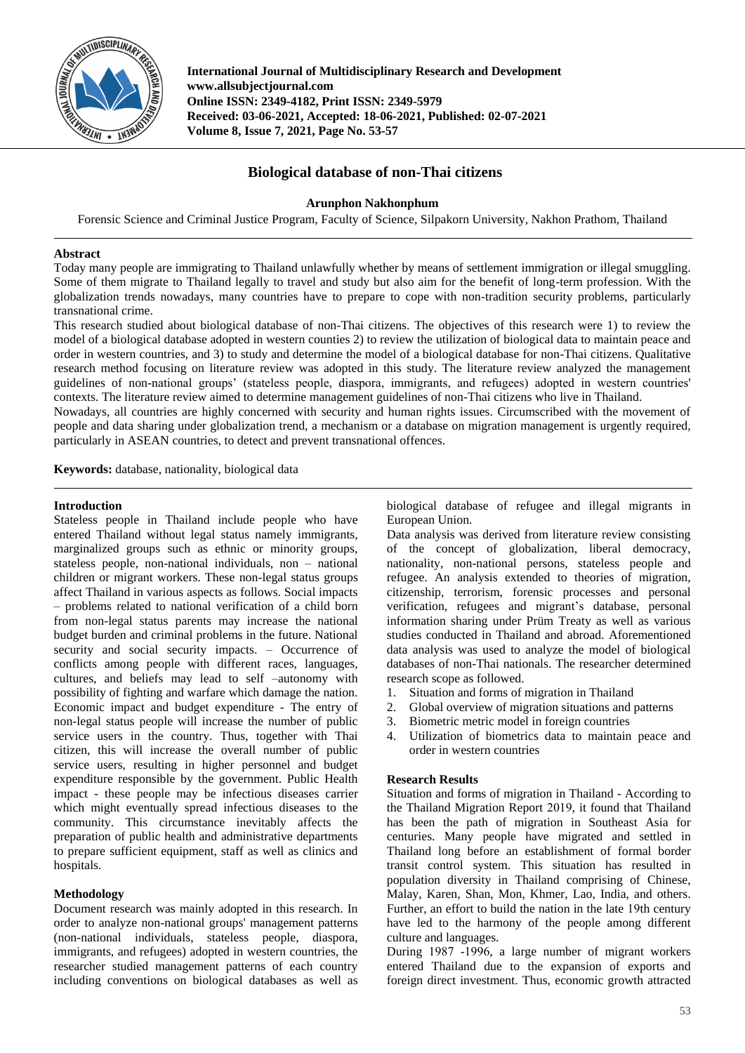

**International Journal of Multidisciplinary Research and Development www.allsubjectjournal.com Online ISSN: 2349-4182, Print ISSN: 2349-5979 Received: 03-06-2021, Accepted: 18-06-2021, Published: 02-07-2021 Volume 8, Issue 7, 2021, Page No. 53-57**

# **Biological database of non-Thai citizens**

## **Arunphon Nakhonphum**

Forensic Science and Criminal Justice Program, Faculty of Science, Silpakorn University, Nakhon Prathom, Thailand

## **Abstract**

Today many people are immigrating to Thailand unlawfully whether by means of settlement immigration or illegal smuggling. Some of them migrate to Thailand legally to travel and study but also aim for the benefit of long-term profession. With the globalization trends nowadays, many countries have to prepare to cope with non-tradition security problems, particularly transnational crime.

This research studied about biological database of non-Thai citizens. The objectives of this research were 1) to review the model of a biological database adopted in western counties 2) to review the utilization of biological data to maintain peace and order in western countries, and 3) to study and determine the model of a biological database for non-Thai citizens. Qualitative research method focusing on literature review was adopted in this study. The literature review analyzed the management guidelines of non-national groups' (stateless people, diaspora, immigrants, and refugees) adopted in western countries' contexts. The literature review aimed to determine management guidelines of non-Thai citizens who live in Thailand.

Nowadays, all countries are highly concerned with security and human rights issues. Circumscribed with the movement of people and data sharing under globalization trend, a mechanism or a database on migration management is urgently required, particularly in ASEAN countries, to detect and prevent transnational offences.

**Keywords:** database, nationality, biological data

## **Introduction**

Stateless people in Thailand include people who have entered Thailand without legal status namely immigrants, marginalized groups such as ethnic or minority groups, stateless people, non-national individuals, non – national children or migrant workers. These non-legal status groups affect Thailand in various aspects as follows. Social impacts – problems related to national verification of a child born from non-legal status parents may increase the national budget burden and criminal problems in the future. National security and social security impacts. – Occurrence of conflicts among people with different races, languages, cultures, and beliefs may lead to self –autonomy with possibility of fighting and warfare which damage the nation. Economic impact and budget expenditure - The entry of non-legal status people will increase the number of public service users in the country. Thus, together with Thai citizen, this will increase the overall number of public service users, resulting in higher personnel and budget expenditure responsible by the government. Public Health impact - these people may be infectious diseases carrier which might eventually spread infectious diseases to the community. This circumstance inevitably affects the preparation of public health and administrative departments to prepare sufficient equipment, staff as well as clinics and hospitals.

## **Methodology**

Document research was mainly adopted in this research. In order to analyze non-national groups' management patterns (non-national individuals, stateless people, diaspora, immigrants, and refugees) adopted in western countries, the researcher studied management patterns of each country including conventions on biological databases as well as biological database of refugee and illegal migrants in European Union.

Data analysis was derived from literature review consisting of the concept of globalization, liberal democracy, nationality, non-national persons, stateless people and refugee. An analysis extended to theories of migration, citizenship, terrorism, forensic processes and personal verification, refugees and migrant's database, personal information sharing under Prüm Treaty as well as various studies conducted in Thailand and abroad. Aforementioned data analysis was used to analyze the model of biological databases of non-Thai nationals. The researcher determined research scope as followed.

- 1. Situation and forms of migration in Thailand
- 2. Global overview of migration situations and patterns
- 3. Biometric metric model in foreign countries
- 4. Utilization of biometrics data to maintain peace and order in western countries

## **Research Results**

Situation and forms of migration in Thailand - According to the Thailand Migration Report 2019, it found that Thailand has been the path of migration in Southeast Asia for centuries. Many people have migrated and settled in Thailand long before an establishment of formal border transit control system. This situation has resulted in population diversity in Thailand comprising of Chinese, Malay, Karen, Shan, Mon, Khmer, Lao, India, and others. Further, an effort to build the nation in the late 19th century have led to the harmony of the people among different culture and languages.

During 1987 -1996, a large number of migrant workers entered Thailand due to the expansion of exports and foreign direct investment. Thus, economic growth attracted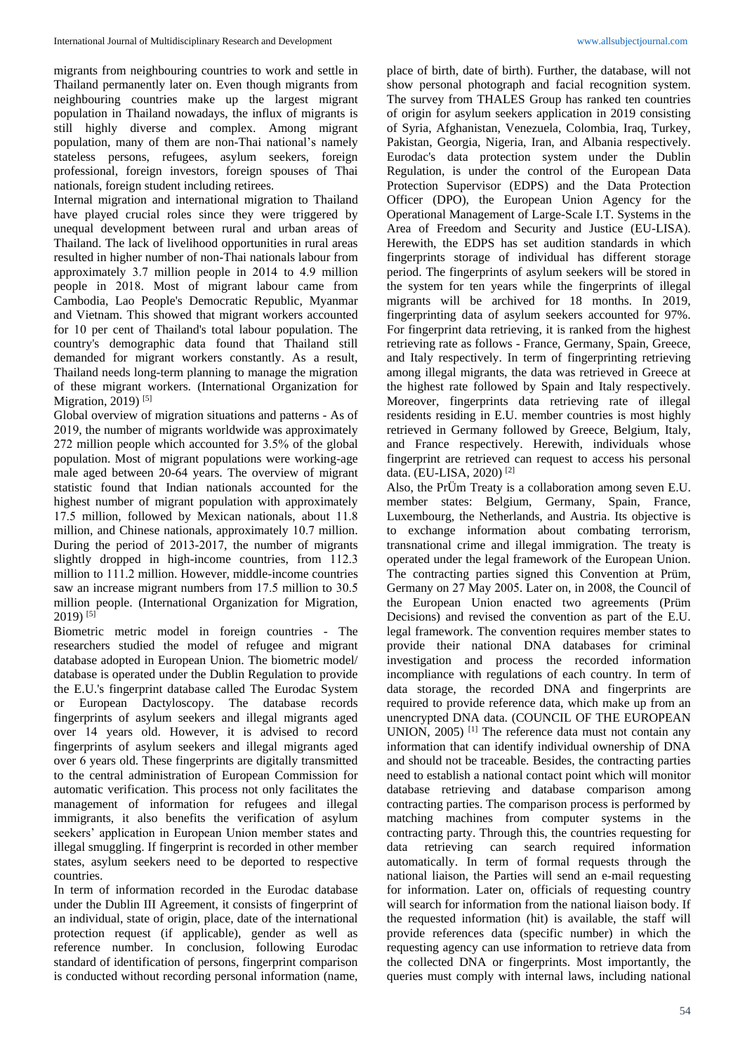migrants from neighbouring countries to work and settle in Thailand permanently later on. Even though migrants from neighbouring countries make up the largest migrant population in Thailand nowadays, the influx of migrants is still highly diverse and complex. Among migrant population, many of them are non-Thai national's namely stateless persons, refugees, asylum seekers, foreign professional, foreign investors, foreign spouses of Thai nationals, foreign student including retirees.

Internal migration and international migration to Thailand have played crucial roles since they were triggered by unequal development between rural and urban areas of Thailand. The lack of livelihood opportunities in rural areas resulted in higher number of non-Thai nationals labour from approximately 3.7 million people in 2014 to 4.9 million people in 2018. Most of migrant labour came from Cambodia, Lao People's Democratic Republic, Myanmar and Vietnam. This showed that migrant workers accounted for 10 per cent of Thailand's total labour population. The country's demographic data found that Thailand still demanded for migrant workers constantly. As a result, Thailand needs long-term planning to manage the migration of these migrant workers. (International Organization for Migration, 2019)<sup>[5]</sup>

Global overview of migration situations and patterns - As of 2019, the number of migrants worldwide was approximately 272 million people which accounted for 3.5% of the global population. Most of migrant populations were working-age male aged between 20-64 years. The overview of migrant statistic found that Indian nationals accounted for the highest number of migrant population with approximately 17.5 million, followed by Mexican nationals, about 11.8 million, and Chinese nationals, approximately 10.7 million. During the period of 2013-2017, the number of migrants slightly dropped in high-income countries, from 112.3 million to 111.2 million. However, middle-income countries saw an increase migrant numbers from 17.5 million to 30.5 million people. (International Organization for Migration,  $2019$ <sup>[5]</sup>

Biometric metric model in foreign countries - The researchers studied the model of refugee and migrant database adopted in European Union. The biometric model/ database is operated under the Dublin Regulation to provide the E.U.'s fingerprint database called The Eurodac System or European Dactyloscopy. The database records fingerprints of asylum seekers and illegal migrants aged over 14 years old. However, it is advised to record fingerprints of asylum seekers and illegal migrants aged over 6 years old. These fingerprints are digitally transmitted to the central administration of European Commission for automatic verification. This process not only facilitates the management of information for refugees and illegal immigrants, it also benefits the verification of asylum seekers' application in European Union member states and illegal smuggling. If fingerprint is recorded in other member states, asylum seekers need to be deported to respective countries.

In term of information recorded in the Eurodac database under the Dublin III Agreement, it consists of fingerprint of an individual, state of origin, place, date of the international protection request (if applicable), gender as well as reference number. In conclusion, following Eurodac standard of identification of persons, fingerprint comparison is conducted without recording personal information (name,

place of birth, date of birth). Further, the database, will not show personal photograph and facial recognition system. The survey from THALES Group has ranked ten countries of origin for asylum seekers application in 2019 consisting of Syria, Afghanistan, Venezuela, Colombia, Iraq, Turkey, Pakistan, Georgia, Nigeria, Iran, and Albania respectively. Eurodac's data protection system under the Dublin Regulation, is under the control of the European Data Protection Supervisor (EDPS) and the Data Protection Officer (DPO), the European Union Agency for the Operational Management of Large-Scale I.T. Systems in the Area of Freedom and Security and Justice (EU-LISA). Herewith, the EDPS has set audition standards in which fingerprints storage of individual has different storage period. The fingerprints of asylum seekers will be stored in the system for ten years while the fingerprints of illegal migrants will be archived for 18 months. In 2019, fingerprinting data of asylum seekers accounted for 97%. For fingerprint data retrieving, it is ranked from the highest retrieving rate as follows - France, Germany, Spain, Greece, and Italy respectively. In term of fingerprinting retrieving among illegal migrants, the data was retrieved in Greece at the highest rate followed by Spain and Italy respectively. Moreover, fingerprints data retrieving rate of illegal residents residing in E.U. member countries is most highly retrieved in Germany followed by Greece, Belgium, Italy, and France respectively. Herewith, individuals whose fingerprint are retrieved can request to access his personal data. (EU-LISA, 2020) [2]

Also, the PrÜm Treaty is a collaboration among seven E.U. member states: Belgium, Germany, Spain, France, Luxembourg, the Netherlands, and Austria. Its objective is to exchange information about combating terrorism, transnational crime and illegal immigration. The treaty is operated under the legal framework of the European Union. The contracting parties signed this Convention at Prüm, Germany on 27 May 2005. Later on, in 2008, the Council of the European Union enacted two agreements (Prüm Decisions) and revised the convention as part of the E.U. legal framework. The convention requires member states to provide their national DNA databases for criminal investigation and process the recorded information incompliance with regulations of each country. In term of data storage, the recorded DNA and fingerprints are required to provide reference data, which make up from an unencrypted DNA data. (COUNCIL OF THE EUROPEAN UNION,  $2005$ )<sup>[1]</sup> The reference data must not contain any information that can identify individual ownership of DNA and should not be traceable. Besides, the contracting parties need to establish a national contact point which will monitor database retrieving and database comparison among contracting parties. The comparison process is performed by matching machines from computer systems in the contracting party. Through this, the countries requesting for data retrieving can search required information automatically. In term of formal requests through the national liaison, the Parties will send an e-mail requesting for information. Later on, officials of requesting country will search for information from the national liaison body. If the requested information (hit) is available, the staff will provide references data (specific number) in which the requesting agency can use information to retrieve data from the collected DNA or fingerprints. Most importantly, the queries must comply with internal laws, including national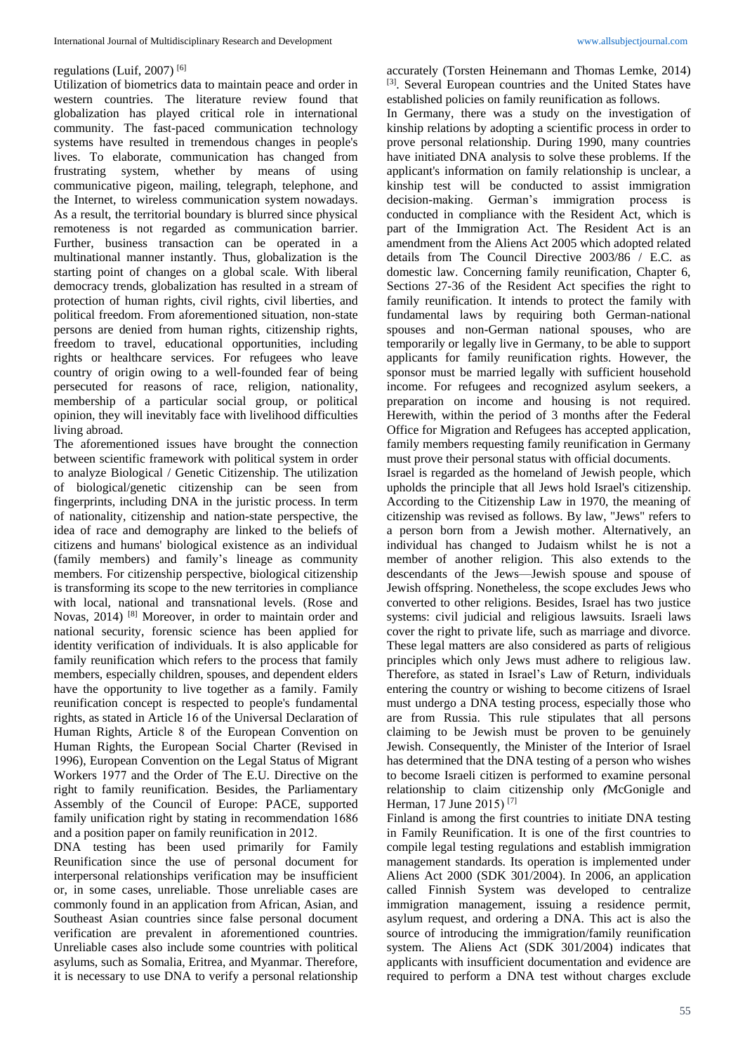## regulations (Luif, 2007) [6]

Utilization of biometrics data to maintain peace and order in western countries. The literature review found that globalization has played critical role in international community. The fast-paced communication technology systems have resulted in tremendous changes in people's lives. To elaborate, communication has changed from frustrating system, whether by means of using communicative pigeon, mailing, telegraph, telephone, and the Internet, to wireless communication system nowadays. As a result, the territorial boundary is blurred since physical remoteness is not regarded as communication barrier. Further, business transaction can be operated in a multinational manner instantly. Thus, globalization is the starting point of changes on a global scale. With liberal democracy trends, globalization has resulted in a stream of protection of human rights, civil rights, civil liberties, and political freedom. From aforementioned situation, non-state persons are denied from human rights, citizenship rights, freedom to travel, educational opportunities, including rights or healthcare services. For refugees who leave country of origin owing to a well-founded fear of being persecuted for reasons of race, religion, nationality, membership of a particular social group, or political opinion, they will inevitably face with livelihood difficulties living abroad.

The aforementioned issues have brought the connection between scientific framework with political system in order to analyze Biological / Genetic Citizenship. The utilization of biological/genetic citizenship can be seen from fingerprints, including DNA in the juristic process. In term of nationality, citizenship and nation-state perspective, the idea of race and demography are linked to the beliefs of citizens and humans' biological existence as an individual (family members) and family's lineage as community members. For citizenship perspective, biological citizenship is transforming its scope to the new territories in compliance with local, national and transnational levels. (Rose and Novas, 2014) [8] Moreover, in order to maintain order and national security, forensic science has been applied for identity verification of individuals. It is also applicable for family reunification which refers to the process that family members, especially children, spouses, and dependent elders have the opportunity to live together as a family. Family reunification concept is respected to people's fundamental rights, as stated in Article 16 of the Universal Declaration of Human Rights, Article 8 of the European Convention on Human Rights, the European Social Charter (Revised in 1996), European Convention on the Legal Status of Migrant Workers 1977 and the Order of The E.U. Directive on the right to family reunification. Besides, the Parliamentary Assembly of the Council of Europe: PACE, supported family unification right by stating in recommendation 1686 and a position paper on family reunification in 2012.

DNA testing has been used primarily for Family Reunification since the use of personal document for interpersonal relationships verification may be insufficient or, in some cases, unreliable. Those unreliable cases are commonly found in an application from African, Asian, and Southeast Asian countries since false personal document verification are prevalent in aforementioned countries. Unreliable cases also include some countries with political asylums, such as Somalia, Eritrea, and Myanmar. Therefore, it is necessary to use DNA to verify a personal relationship

accurately (Torsten Heinemann and Thomas Lemke, 2014) [3]. Several European countries and the United States have established policies on family reunification as follows.

In Germany, there was a study on the investigation of kinship relations by adopting a scientific process in order to prove personal relationship. During 1990, many countries have initiated DNA analysis to solve these problems. If the applicant's information on family relationship is unclear, a kinship test will be conducted to assist immigration decision-making. German's immigration process is conducted in compliance with the Resident Act, which is part of the Immigration Act. The Resident Act is an amendment from the Aliens Act 2005 which adopted related details from The Council Directive 2003/86 / E.C. as domestic law. Concerning family reunification, Chapter 6, Sections 27-36 of the Resident Act specifies the right to family reunification. It intends to protect the family with fundamental laws by requiring both German-national spouses and non-German national spouses, who are temporarily or legally live in Germany, to be able to support applicants for family reunification rights. However, the sponsor must be married legally with sufficient household income. For refugees and recognized asylum seekers, a preparation on income and housing is not required. Herewith, within the period of 3 months after the Federal Office for Migration and Refugees has accepted application, family members requesting family reunification in Germany must prove their personal status with official documents.

Israel is regarded as the homeland of Jewish people, which upholds the principle that all Jews hold Israel's citizenship. According to the Citizenship Law in 1970, the meaning of citizenship was revised as follows. By law, "Jews" refers to a person born from a Jewish mother. Alternatively, an individual has changed to Judaism whilst he is not a member of another religion. This also extends to the descendants of the Jews—Jewish spouse and spouse of Jewish offspring. Nonetheless, the scope excludes Jews who converted to other religions. Besides, Israel has two justice systems: civil judicial and religious lawsuits. Israeli laws cover the right to private life, such as marriage and divorce. These legal matters are also considered as parts of religious principles which only Jews must adhere to religious law. Therefore, as stated in Israel's Law of Return, individuals entering the country or wishing to become citizens of Israel must undergo a DNA testing process, especially those who are from Russia. This rule stipulates that all persons claiming to be Jewish must be proven to be genuinely Jewish. Consequently, the Minister of the Interior of Israel has determined that the DNA testing of a person who wishes to become Israeli citizen is performed to examine personal relationship to claim citizenship only *(*McGonigle and Herman, 17 June 2015) [7]

Finland is among the first countries to initiate DNA testing in Family Reunification. It is one of the first countries to compile legal testing regulations and establish immigration management standards. Its operation is implemented under Aliens Act 2000 (SDK 301/2004). In 2006, an application called Finnish System was developed to centralize immigration management, issuing a residence permit, asylum request, and ordering a DNA. This act is also the source of introducing the immigration/family reunification system. The Aliens Act (SDK 301/2004) indicates that applicants with insufficient documentation and evidence are required to perform a DNA test without charges exclude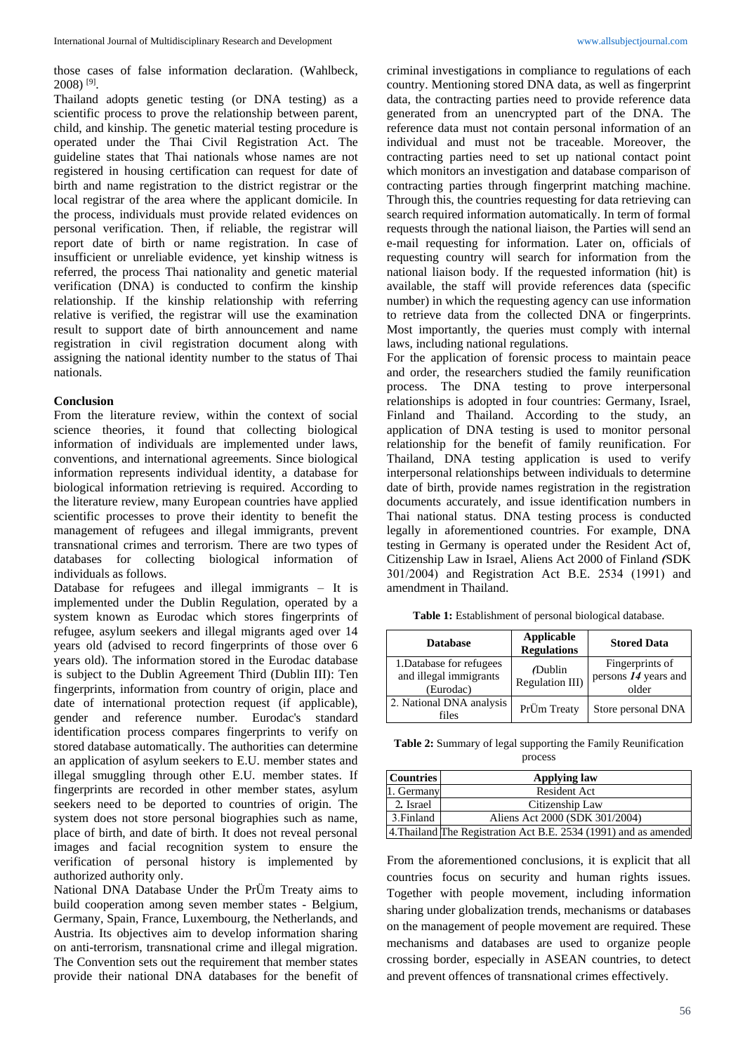those cases of false information declaration. (Wahlbeck,  $2008$ )<sup>[9]</sup>.

Thailand adopts genetic testing (or DNA testing) as a scientific process to prove the relationship between parent, child, and kinship. The genetic material testing procedure is operated under the Thai Civil Registration Act. The guideline states that Thai nationals whose names are not registered in housing certification can request for date of birth and name registration to the district registrar or the local registrar of the area where the applicant domicile. In the process, individuals must provide related evidences on personal verification. Then, if reliable, the registrar will report date of birth or name registration. In case of insufficient or unreliable evidence, yet kinship witness is referred, the process Thai nationality and genetic material verification (DNA) is conducted to confirm the kinship relationship. If the kinship relationship with referring relative is verified, the registrar will use the examination result to support date of birth announcement and name registration in civil registration document along with assigning the national identity number to the status of Thai nationals.

#### **Conclusion**

From the literature review, within the context of social science theories, it found that collecting biological information of individuals are implemented under laws, conventions, and international agreements. Since biological information represents individual identity, a database for biological information retrieving is required. According to the literature review, many European countries have applied scientific processes to prove their identity to benefit the management of refugees and illegal immigrants, prevent transnational crimes and terrorism. There are two types of databases for collecting biological information of individuals as follows.

Database for refugees and illegal immigrants – It is implemented under the Dublin Regulation, operated by a system known as Eurodac which stores fingerprints of refugee, asylum seekers and illegal migrants aged over 14 years old (advised to record fingerprints of those over 6 years old). The information stored in the Eurodac database is subject to the Dublin Agreement Third (Dublin III): Ten fingerprints, information from country of origin, place and date of international protection request (if applicable), gender and reference number. Eurodac's standard identification process compares fingerprints to verify on stored database automatically. The authorities can determine an application of asylum seekers to E.U. member states and illegal smuggling through other E.U. member states. If fingerprints are recorded in other member states, asylum seekers need to be deported to countries of origin. The system does not store personal biographies such as name, place of birth, and date of birth. It does not reveal personal images and facial recognition system to ensure the verification of personal history is implemented by authorized authority only.

National DNA Database Under the PrÜm Treaty aims to build cooperation among seven member states - Belgium, Germany, Spain, France, Luxembourg, the Netherlands, and Austria. Its objectives aim to develop information sharing on anti-terrorism, transnational crime and illegal migration. The Convention sets out the requirement that member states provide their national DNA databases for the benefit of criminal investigations in compliance to regulations of each country. Mentioning stored DNA data, as well as fingerprint data, the contracting parties need to provide reference data generated from an unencrypted part of the DNA. The reference data must not contain personal information of an individual and must not be traceable. Moreover, the contracting parties need to set up national contact point which monitors an investigation and database comparison of contracting parties through fingerprint matching machine. Through this, the countries requesting for data retrieving can search required information automatically. In term of formal requests through the national liaison, the Parties will send an e-mail requesting for information. Later on, officials of requesting country will search for information from the national liaison body. If the requested information (hit) is available, the staff will provide references data (specific number) in which the requesting agency can use information to retrieve data from the collected DNA or fingerprints. Most importantly, the queries must comply with internal laws, including national regulations.

For the application of forensic process to maintain peace and order, the researchers studied the family reunification process. The DNA testing to prove interpersonal relationships is adopted in four countries: Germany, Israel, Finland and Thailand. According to the study, an application of DNA testing is used to monitor personal relationship for the benefit of family reunification. For Thailand, DNA testing application is used to verify interpersonal relationships between individuals to determine date of birth, provide names registration in the registration documents accurately, and issue identification numbers in Thai national status. DNA testing process is conducted legally in aforementioned countries. For example, DNA testing in Germany is operated under the Resident Act of, Citizenship Law in Israel, Aliens Act 2000 of Finland *(*SDK 301/2004) and Registration Act B.E. 2534 (1991) and amendment in Thailand.

| <b>Database</b>                                                 | <b>Applicable</b><br><b>Regulations</b> | <b>Stored Data</b>                               |
|-----------------------------------------------------------------|-----------------------------------------|--------------------------------------------------|
| 1. Database for refugees<br>and illegal immigrants<br>(Eurodac) | (Dublin<br><b>Regulation III)</b>       | Fingerprints of<br>persons 14 years and<br>older |
| 2. National DNA analysis<br>files                               | PrÜm Treaty                             | Store personal DNA                               |

**Table 2:** Summary of legal supporting the Family Reunification process

| <b>Countries</b> | <b>Applying law</b>                                              |  |
|------------------|------------------------------------------------------------------|--|
| 1. Germany       | Resident Act                                                     |  |
| 2. Israel        | Citizenship Law                                                  |  |
| 3. Finland       | Aliens Act 2000 (SDK 301/2004)                                   |  |
|                  | 4. Thailand The Registration Act B.E. 2534 (1991) and as amended |  |

From the aforementioned conclusions, it is explicit that all countries focus on security and human rights issues. Together with people movement, including information sharing under globalization trends, mechanisms or databases on the management of people movement are required. These mechanisms and databases are used to organize people crossing border, especially in ASEAN countries, to detect and prevent offences of transnational crimes effectively.